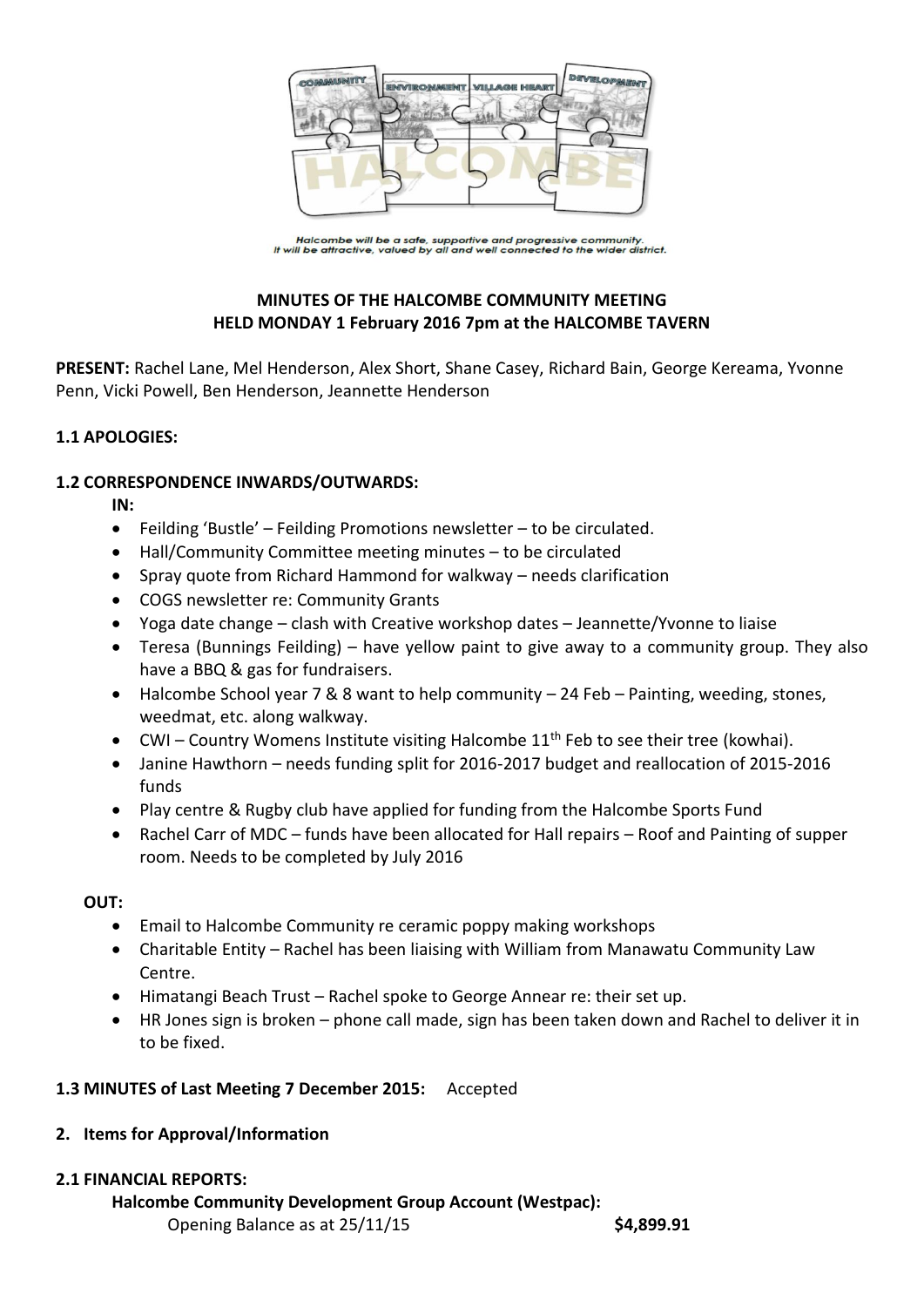

Halcombe will be a safe, supportive and progressive community.<br>It will be attractive, valued by all and well connected to the wider district.

# **MINUTES OF THE HALCOMBE COMMUNITY MEETING HELD MONDAY 1 February 2016 7pm at the HALCOMBE TAVERN**

**PRESENT:** Rachel Lane, Mel Henderson, Alex Short, Shane Casey, Richard Bain, George Kereama, Yvonne Penn, Vicki Powell, Ben Henderson, Jeannette Henderson

# **1.1 APOLOGIES:**

#### **1.2 CORRESPONDENCE INWARDS/OUTWARDS:**

**IN:** 

- Feilding 'Bustle' Feilding Promotions newsletter to be circulated.
- Hall/Community Committee meeting minutes to be circulated
- Spray quote from Richard Hammond for walkway needs clarification
- COGS newsletter re: Community Grants
- Yoga date change clash with Creative workshop dates Jeannette/Yvonne to liaise
- Teresa (Bunnings Feilding) have yellow paint to give away to a community group. They also have a BBQ & gas for fundraisers.
- Halcombe School year 7 & 8 want to help community 24 Feb Painting, weeding, stones, weedmat, etc. along walkway.
- $\bullet$  CWI Country Womens Institute visiting Halcombe 11<sup>th</sup> Feb to see their tree (kowhai).
- Janine Hawthorn needs funding split for 2016-2017 budget and reallocation of 2015-2016 funds
- Play centre & Rugby club have applied for funding from the Halcombe Sports Fund
- Rachel Carr of MDC funds have been allocated for Hall repairs Roof and Painting of supper room. Needs to be completed by July 2016

# **OUT:**

- Email to Halcombe Community re ceramic poppy making workshops
- Charitable Entity Rachel has been liaising with William from Manawatu Community Law Centre.
- Himatangi Beach Trust Rachel spoke to George Annear re: their set up.
- HR Jones sign is broken phone call made, sign has been taken down and Rachel to deliver it in to be fixed.

# **1.3 MINUTES of Last Meeting 7 December 2015:** Accepted

# **2. Items for Approval/Information**

# **2.1 FINANCIAL REPORTS:**

# **Halcombe Community Development Group Account (Westpac):**

Opening Balance as at 25/11/15 **\$4,899.91**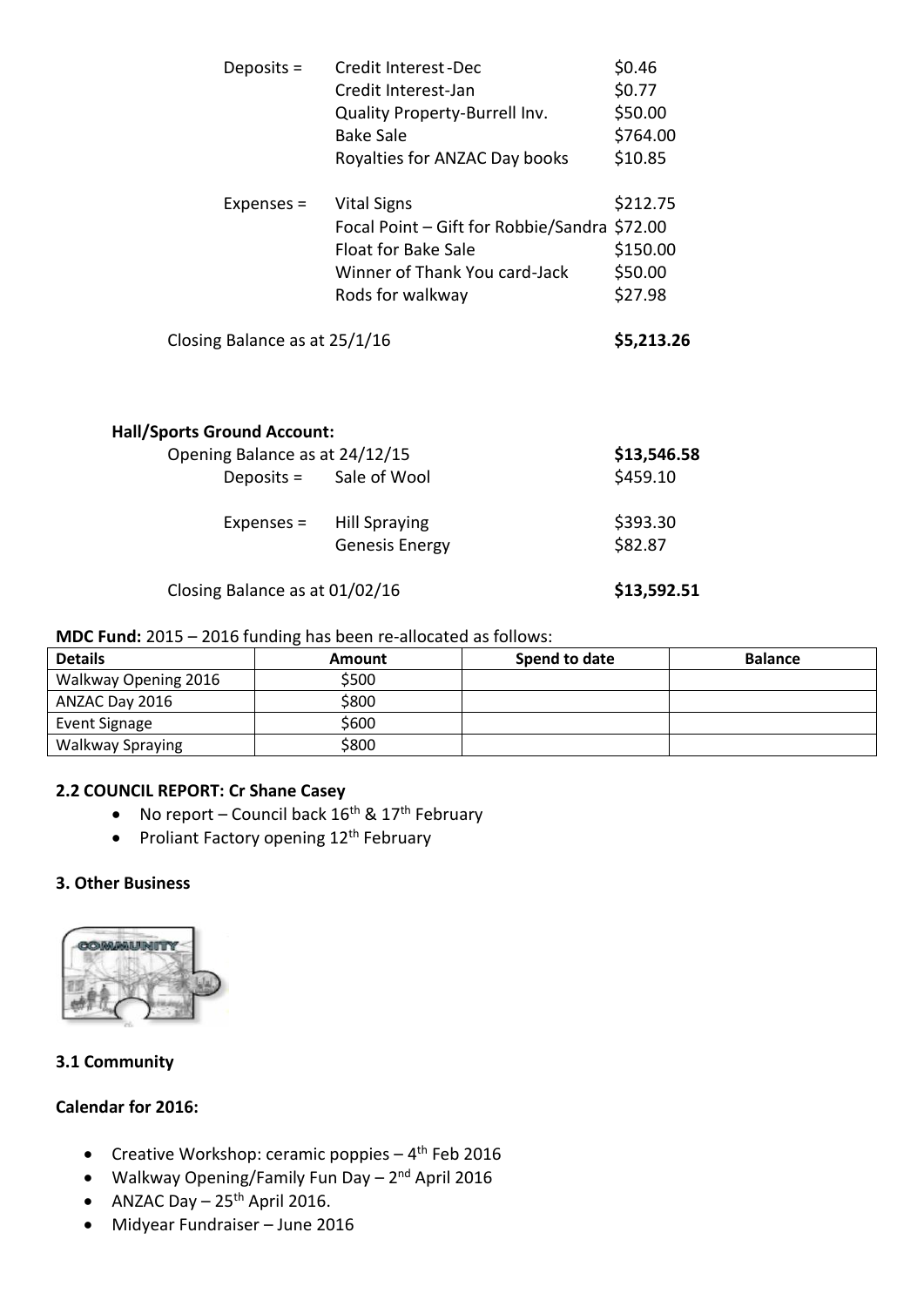| Deposits =                         | Credit Interest-Dec                  | \$0.46      |
|------------------------------------|--------------------------------------|-------------|
|                                    | Credit Interest-Jan                  | \$0.77      |
|                                    | Quality Property-Burrell Inv.        | \$50.00     |
|                                    | <b>Bake Sale</b>                     | \$764.00    |
|                                    | Royalties for ANZAC Day books        | \$10.85     |
| Expenses $=$                       | <b>Vital Signs</b>                   | \$212.75    |
|                                    | Focal Point - Gift for Robbie/Sandra | \$72.00     |
|                                    | <b>Float for Bake Sale</b>           | \$150.00    |
|                                    | Winner of Thank You card-Jack        | \$50.00     |
|                                    | Rods for walkway                     | \$27.98     |
| Closing Balance as at 25/1/16      |                                      | \$5,213.26  |
| <b>Hall/Sports Ground Account:</b> |                                      |             |
| Opening Balance as at 24/12/15     |                                      | \$13,546.58 |
| Deposits = Sale of Wool            |                                      | \$459.10    |
| Expenses =                         | <b>Hill Spraying</b>                 | \$393.30    |
|                                    | <b>Genesis Energy</b>                | \$82.87     |
| Closing Balance as at 01/02/16     |                                      | \$13,592.51 |

#### **MDC Fund:** 2015 – 2016 funding has been re-allocated as follows:

| <b>Details</b>          | Amount | Spend to date | <b>Balance</b> |
|-------------------------|--------|---------------|----------------|
| Walkway Opening 2016    | \$500  |               |                |
| ANZAC Day 2016          | \$800  |               |                |
| Event Signage           | \$600  |               |                |
| <b>Walkway Spraying</b> | \$800  |               |                |

## **2.2 COUNCIL REPORT: Cr Shane Casey**

- No report Council back  $16^{th}$  &  $17^{th}$  February
- Proliant Factory opening 12<sup>th</sup> February

#### **3. Other Business**



# **3.1 Community**

# **Calendar for 2016:**

- Creative Workshop: ceramic poppies 4<sup>th</sup> Feb 2016
- Walkway Opening/Family Fun Day 2<sup>nd</sup> April 2016
- ANZAC Day  $-25$ <sup>th</sup> April 2016.
- Midyear Fundraiser June 2016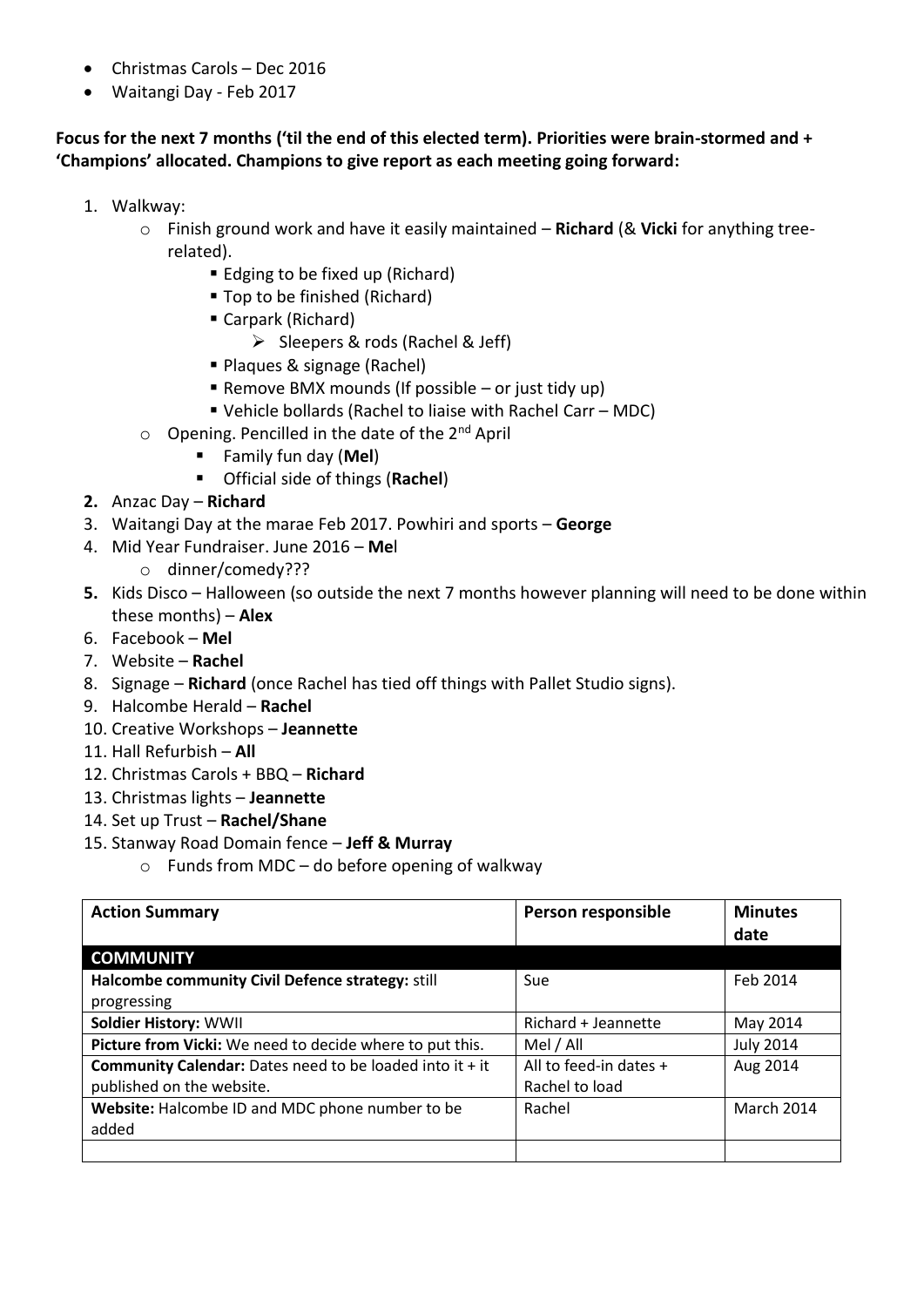- Christmas Carols Dec 2016
- Waitangi Day Feb 2017

# **Focus for the next 7 months ('til the end of this elected term). Priorities were brain-stormed and + 'Champions' allocated. Champions to give report as each meeting going forward:**

- 1. Walkway:
	- o Finish ground work and have it easily maintained **Richard** (& **Vicki** for anything treerelated).
		- Edging to be fixed up (Richard)
		- Top to be finished (Richard)
		- Carpark (Richard)
			- $\triangleright$  Sleepers & rods (Rachel & Jeff)
		- Plaques & signage (Rachel)
		- Remove BMX mounds (If possible or just tidy up)
		- Vehicle bollards (Rachel to liaise with Rachel Carr MDC)
	- $\circ$  Opening. Pencilled in the date of the 2<sup>nd</sup> April
		- Family fun day (**Mel**)
		- Official side of things (**Rachel**)
- **2.** Anzac Day **Richard**
- 3. Waitangi Day at the marae Feb 2017. Powhiri and sports **George**
- 4. Mid Year Fundraiser. June 2016 **Me**l
	- o dinner/comedy???
- **5.** Kids Disco Halloween (so outside the next 7 months however planning will need to be done within these months) – **Alex**
- 6. Facebook **Mel**
- 7. Website **Rachel**
- 8. Signage **Richard** (once Rachel has tied off things with Pallet Studio signs).
- 9. Halcombe Herald **Rachel**
- 10. Creative Workshops **Jeannette**
- 11. Hall Refurbish **All**
- 12. Christmas Carols + BBQ **Richard**
- 13. Christmas lights **Jeannette**
- 14. Set up Trust **Rachel/Shane**
- 15. Stanway Road Domain fence **Jeff & Murray**
	- $\circ$  Funds from MDC do before opening of walkway

| <b>Action Summary</b>                                           | Person responsible       | <b>Minutes</b>    |
|-----------------------------------------------------------------|--------------------------|-------------------|
|                                                                 |                          | date              |
| <b>COMMUNITY</b>                                                |                          |                   |
| Halcombe community Civil Defence strategy: still                | Sue                      | Feb 2014          |
| progressing                                                     |                          |                   |
| Soldier History: WWII                                           | Richard + Jeannette      | May 2014          |
| Picture from Vicki: We need to decide where to put this.        | Mel / All                | <b>July 2014</b>  |
| <b>Community Calendar:</b> Dates need to be loaded into it + it | All to feed-in dates $+$ | Aug 2014          |
| published on the website.                                       | Rachel to load           |                   |
| Website: Halcombe ID and MDC phone number to be                 | Rachel                   | <b>March 2014</b> |
| added                                                           |                          |                   |
|                                                                 |                          |                   |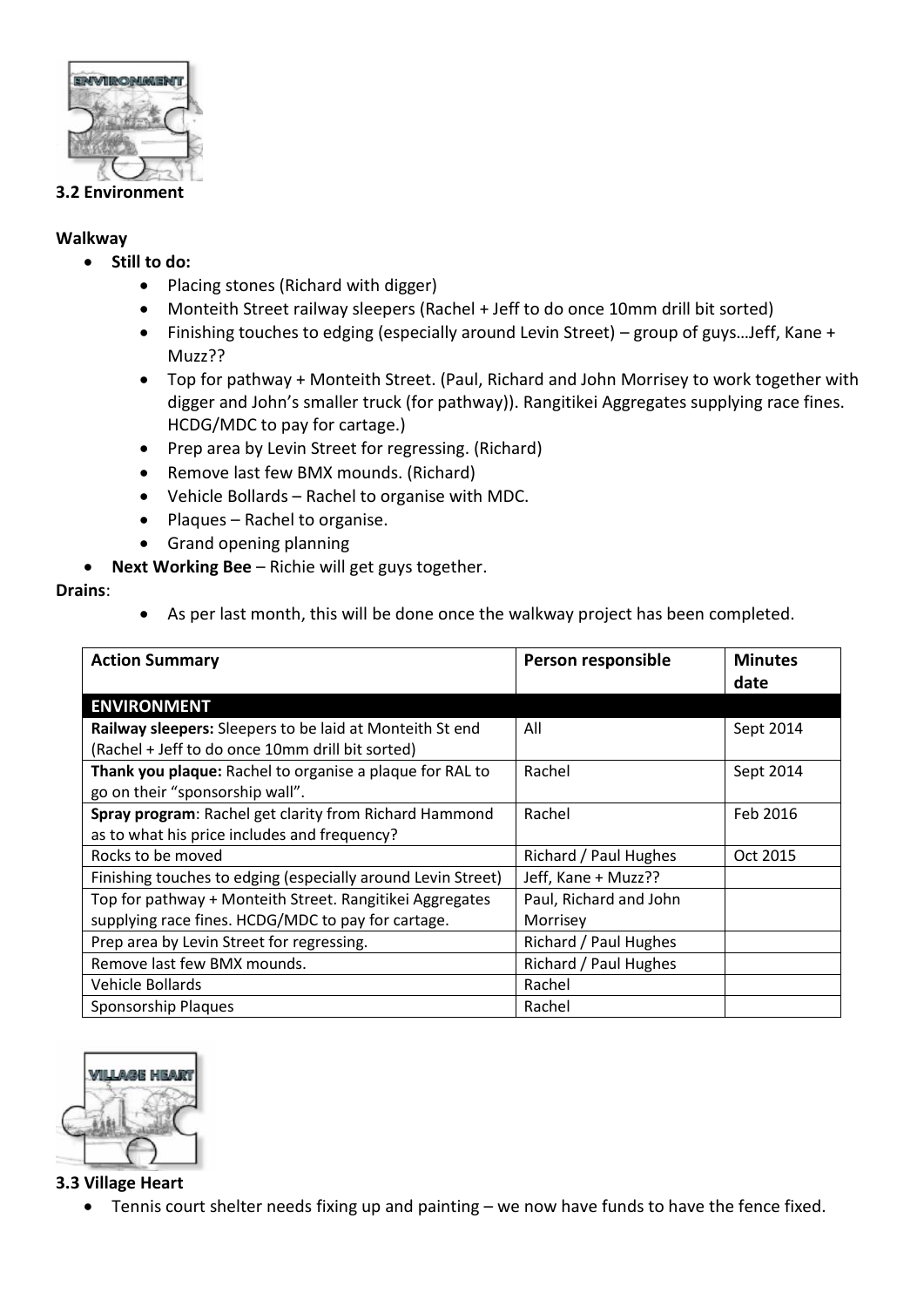

#### **3.2 Environment**

#### **Walkway**

- **Still to do:**
	- Placing stones (Richard with digger)
	- Monteith Street railway sleepers (Rachel + Jeff to do once 10mm drill bit sorted)
	- Finishing touches to edging (especially around Levin Street) group of guys…Jeff, Kane + Muzz??
	- Top for pathway + Monteith Street. (Paul, Richard and John Morrisey to work together with digger and John's smaller truck (for pathway)). Rangitikei Aggregates supplying race fines. HCDG/MDC to pay for cartage.)
	- Prep area by Levin Street for regressing. (Richard)
	- Remove last few BMX mounds. (Richard)
	- Vehicle Bollards Rachel to organise with MDC.
	- Plaques Rachel to organise.
	- Grand opening planning
- **Next Working Bee** Richie will get guys together.

# **Drains**:

As per last month, this will be done once the walkway project has been completed.

| <b>Action Summary</b>                                        | Person responsible     | <b>Minutes</b><br>date |
|--------------------------------------------------------------|------------------------|------------------------|
| <b>ENVIRONMENT</b>                                           |                        |                        |
| Railway sleepers: Sleepers to be laid at Monteith St end     | All                    | Sept 2014              |
| (Rachel + Jeff to do once 10mm drill bit sorted)             |                        |                        |
| Thank you plaque: Rachel to organise a plaque for RAL to     | Rachel                 | Sept 2014              |
| go on their "sponsorship wall".                              |                        |                        |
| Spray program: Rachel get clarity from Richard Hammond       | Rachel                 | Feb 2016               |
| as to what his price includes and frequency?                 |                        |                        |
| Rocks to be moved                                            | Richard / Paul Hughes  | Oct 2015               |
| Finishing touches to edging (especially around Levin Street) | Jeff, Kane + Muzz??    |                        |
| Top for pathway + Monteith Street. Rangitikei Aggregates     | Paul, Richard and John |                        |
| supplying race fines. HCDG/MDC to pay for cartage.           | Morrisey               |                        |
| Prep area by Levin Street for regressing.                    | Richard / Paul Hughes  |                        |
| Remove last few BMX mounds.                                  | Richard / Paul Hughes  |                        |
| Vehicle Bollards                                             | Rachel                 |                        |
| Sponsorship Plaques                                          | Rachel                 |                        |



#### **3.3 Village Heart**

Tennis court shelter needs fixing up and painting – we now have funds to have the fence fixed.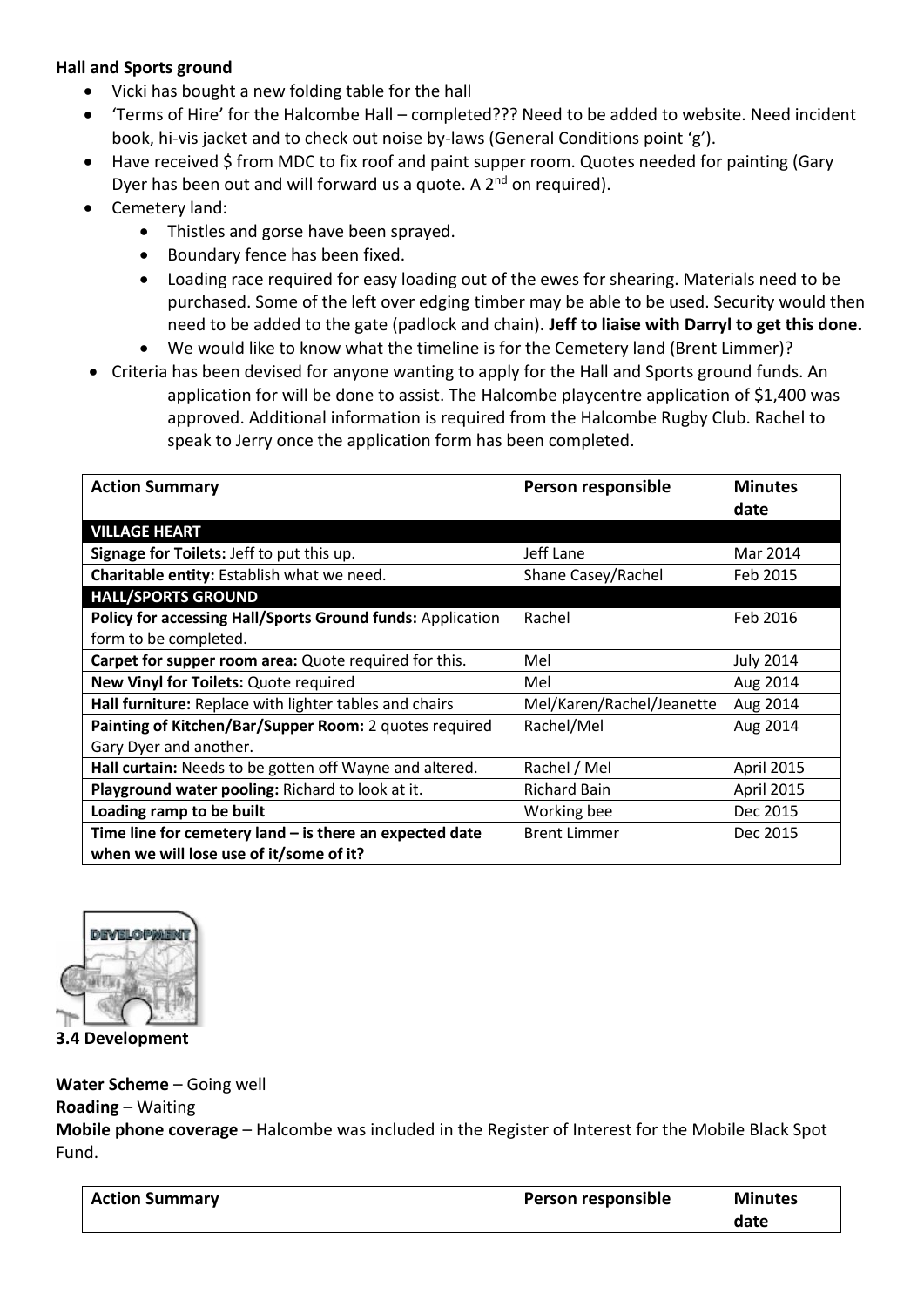## **Hall and Sports ground**

- Vicki has bought a new folding table for the hall
- 'Terms of Hire' for the Halcombe Hall completed??? Need to be added to website. Need incident book, hi-vis jacket and to check out noise by-laws (General Conditions point 'g').
- Have received \$ from MDC to fix roof and paint supper room. Quotes needed for painting (Gary Dyer has been out and will forward us a quote. A 2<sup>nd</sup> on required).
- Cemetery land:
	- Thistles and gorse have been sprayed.
	- Boundary fence has been fixed.
	- Loading race required for easy loading out of the ewes for shearing. Materials need to be purchased. Some of the left over edging timber may be able to be used. Security would then need to be added to the gate (padlock and chain). **Jeff to liaise with Darryl to get this done.**
	- We would like to know what the timeline is for the Cemetery land (Brent Limmer)?
- Criteria has been devised for anyone wanting to apply for the Hall and Sports ground funds. An application for will be done to assist. The Halcombe playcentre application of \$1,400 was approved. Additional information is required from the Halcombe Rugby Club. Rachel to speak to Jerry once the application form has been completed.

| <b>Action Summary</b>                                      | Person responsible        | <b>Minutes</b>   |
|------------------------------------------------------------|---------------------------|------------------|
|                                                            |                           | date             |
| <b>VILLAGE HEART</b>                                       |                           |                  |
| Signage for Toilets: Jeff to put this up.                  | Jeff Lane                 | Mar 2014         |
| Charitable entity: Establish what we need.                 | Shane Casey/Rachel        | Feb 2015         |
| <b>HALL/SPORTS GROUND</b>                                  |                           |                  |
| Policy for accessing Hall/Sports Ground funds: Application | Rachel                    | Feb 2016         |
| form to be completed.                                      |                           |                  |
| Carpet for supper room area: Quote required for this.      | Mel                       | <b>July 2014</b> |
| New Vinyl for Toilets: Quote required                      | Mel                       | Aug 2014         |
| Hall furniture: Replace with lighter tables and chairs     | Mel/Karen/Rachel/Jeanette | Aug 2014         |
| Painting of Kitchen/Bar/Supper Room: 2 quotes required     | Rachel/Mel                | Aug 2014         |
| Gary Dyer and another.                                     |                           |                  |
| Hall curtain: Needs to be gotten off Wayne and altered.    | Rachel / Mel              | April 2015       |
| Playground water pooling: Richard to look at it.           | <b>Richard Bain</b>       | April 2015       |
| Loading ramp to be built                                   | Working bee               | Dec 2015         |
| Time line for cemetery land $-$ is there an expected date  | <b>Brent Limmer</b>       | Dec 2015         |
| when we will lose use of it/some of it?                    |                           |                  |



**3.4 Development**

#### **Water Scheme** – Going well

#### **Roading** – Waiting

**Mobile phone coverage** – Halcombe was included in the Register of Interest for the Mobile Black Spot Fund.

| <b>Action Summary</b> | Person responsible | <b>Minutes</b> |
|-----------------------|--------------------|----------------|
|                       |                    | date           |